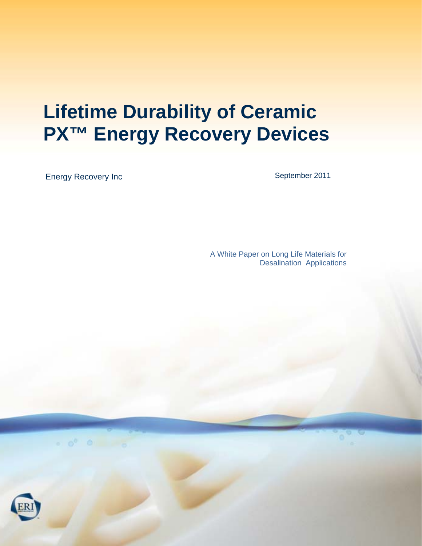# **Lifetime Durability of Ceramic PX<sup>™</sup> Energy Recovery Devices**

Energy Recovery Inc

September 2011

A White Paper on Long Life Materials for Desalination Applications

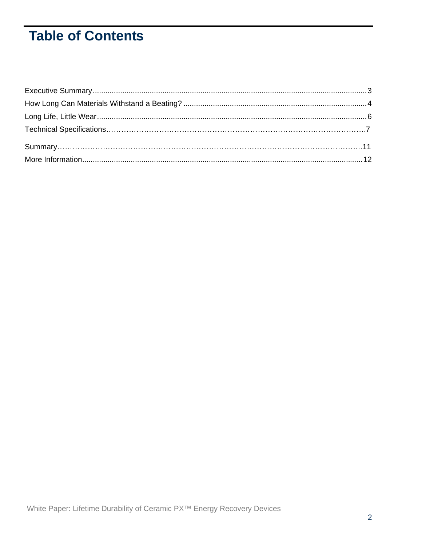# **Table of Contents**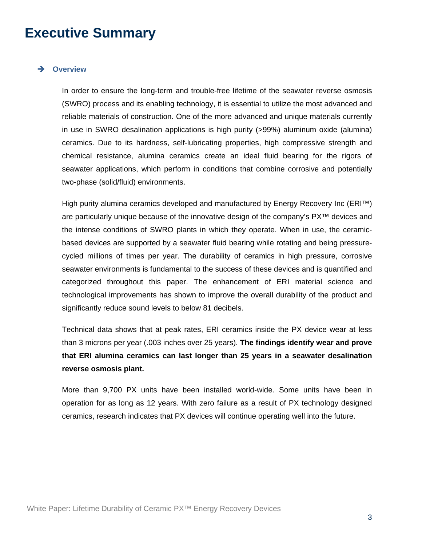### **Executive Summary**

#### **Overview**

In order to ensure the long-term and trouble-free lifetime of the seawater reverse osmosis (SWRO) process and its enabling technology, it is essential to utilize the most advanced and reliable materials of construction. One of the more advanced and unique materials currently in use in SWRO desalination applications is high purity (>99%) aluminum oxide (alumina) ceramics. Due to its hardness, self-lubricating properties, high compressive strength and chemical resistance, alumina ceramics create an ideal fluid bearing for the rigors of seawater applications, which perform in conditions that combine corrosive and potentially two-phase (solid/fluid) environments.

High purity alumina ceramics developed and manufactured by Energy Recovery Inc (ERI™) are particularly unique because of the innovative design of the company's PX™ devices and the intense conditions of SWRO plants in which they operate. When in use, the ceramicbased devices are supported by a seawater fluid bearing while rotating and being pressurecycled millions of times per year. The durability of ceramics in high pressure, corrosive seawater environments is fundamental to the success of these devices and is quantified and categorized throughout this paper. The enhancement of ERI material science and technological improvements has shown to improve the overall durability of the product and significantly reduce sound levels to below 81 decibels.

Technical data shows that at peak rates, ERI ceramics inside the PX device wear at less than 3 microns per year (.003 inches over 25 years). **The findings identify wear and prove that ERI alumina ceramics can last longer than 25 years in a seawater desalination reverse osmosis plant.** 

More than 9,700 PX units have been installed world-wide. Some units have been in operation for as long as 12 years. With zero failure as a result of PX technology designed ceramics, research indicates that PX devices will continue operating well into the future.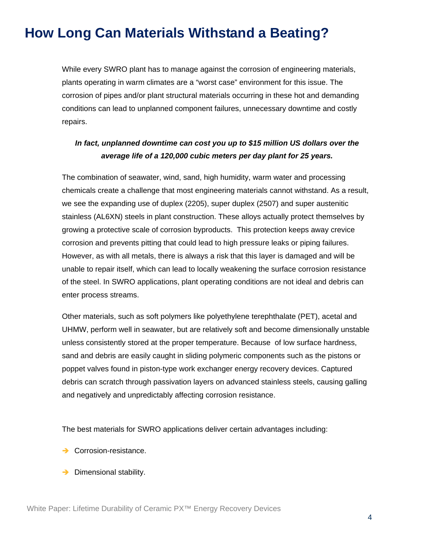# **How Long Can Materials Withstand a Beating?**

While every SWRO plant has to manage against the corrosion of engineering materials, plants operating in warm climates are a "worst case" environment for this issue. The corrosion of pipes and/or plant structural materials occurring in these hot and demanding conditions can lead to unplanned component failures, unnecessary downtime and costly repairs.

### *In fact, unplanned downtime can cost you up to \$15 million US dollars over the average life of a 120,000 cubic meters per day plant for 25 years.*

The combination of seawater, wind, sand, high humidity, warm water and processing chemicals create a challenge that most engineering materials cannot withstand. As a result, we see the expanding use of duplex (2205), super duplex (2507) and super austenitic stainless (AL6XN) steels in plant construction. These alloys actually protect themselves by growing a protective scale of corrosion byproducts. This protection keeps away crevice corrosion and prevents pitting that could lead to high pressure leaks or piping failures. However, as with all metals, there is always a risk that this layer is damaged and will be unable to repair itself, which can lead to locally weakening the surface corrosion resistance of the steel. In SWRO applications, plant operating conditions are not ideal and debris can enter process streams.

Other materials, such as soft polymers like polyethylene terephthalate (PET), acetal and UHMW, perform well in seawater, but are relatively soft and become dimensionally unstable unless consistently stored at the proper temperature. Because of low surface hardness, sand and debris are easily caught in sliding polymeric components such as the pistons or poppet valves found in piston-type work exchanger energy recovery devices. Captured debris can scratch through passivation layers on advanced stainless steels, causing galling and negatively and unpredictably affecting corrosion resistance.

The best materials for SWRO applications deliver certain advantages including:

- → Corrosion-resistance.
- $\rightarrow$  Dimensional stability.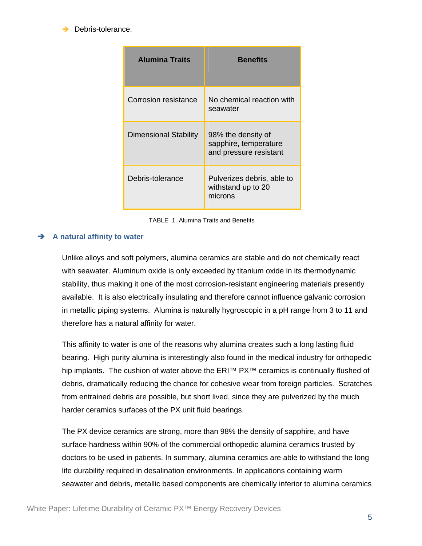$\rightarrow$  Debris-tolerance.

| <b>Alumina Traits</b>        | <b>Benefits</b>                                                       |
|------------------------------|-----------------------------------------------------------------------|
| Corrosion resistance         | No chemical reaction with<br>seawater                                 |
| <b>Dimensional Stability</b> | 98% the density of<br>sapphire, temperature<br>and pressure resistant |
| Debris-tolerance             | Pulverizes debris, able to<br>withstand up to 20<br>microns           |

TABLE 1. Alumina Traits and Benefits

### **A natural affinity to water**

Unlike alloys and soft polymers, alumina ceramics are stable and do not chemically react with seawater. Aluminum oxide is only exceeded by titanium oxide in its thermodynamic stability, thus making it one of the most corrosion-resistant engineering materials presently available. It is also electrically insulating and therefore cannot influence galvanic corrosion in metallic piping systems. Alumina is naturally hygroscopic in a pH range from 3 to 11 and therefore has a natural affinity for water.

This affinity to water is one of the reasons why alumina creates such a long lasting fluid bearing. High purity alumina is interestingly also found in the medical industry for orthopedic hip implants. The cushion of water above the ERI™ PX<sup>™</sup> ceramics is continually flushed of debris, dramatically reducing the chance for cohesive wear from foreign particles. Scratches from entrained debris are possible, but short lived, since they are pulverized by the much harder ceramics surfaces of the PX unit fluid bearings.

The PX device ceramics are strong, more than 98% the density of sapphire, and have surface hardness within 90% of the commercial orthopedic alumina ceramics trusted by doctors to be used in patients. In summary, alumina ceramics are able to withstand the long life durability required in desalination environments. In applications containing warm seawater and debris, metallic based components are chemically inferior to alumina ceramics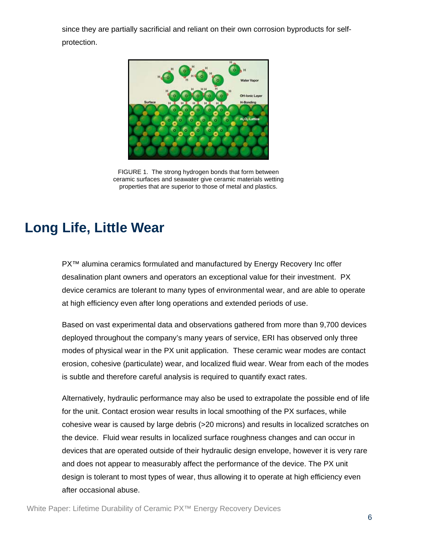since they are partially sacrificial and reliant on their own corrosion byproducts for selfprotection.



FIGURE 1. The strong hydrogen bonds that form between ceramic surfaces and seawater give ceramic materials wetting properties that are superior to those of metal and plastics.

## **Long Life, Little Wear**

PX<sup>™</sup> alumina ceramics formulated and manufactured by Energy Recovery Inc offer desalination plant owners and operators an exceptional value for their investment. PX device ceramics are tolerant to many types of environmental wear, and are able to operate at high efficiency even after long operations and extended periods of use.

Based on vast experimental data and observations gathered from more than 9,700 devices deployed throughout the company's many years of service, ERI has observed only three modes of physical wear in the PX unit application. These ceramic wear modes are contact erosion, cohesive (particulate) wear, and localized fluid wear. Wear from each of the modes is subtle and therefore careful analysis is required to quantify exact rates.

Alternatively, hydraulic performance may also be used to extrapolate the possible end of life for the unit. Contact erosion wear results in local smoothing of the PX surfaces, while cohesive wear is caused by large debris (>20 microns) and results in localized scratches on the device. Fluid wear results in localized surface roughness changes and can occur in devices that are operated outside of their hydraulic design envelope, however it is very rare and does not appear to measurably affect the performance of the device. The PX unit design is tolerant to most types of wear, thus allowing it to operate at high efficiency even after occasional abuse.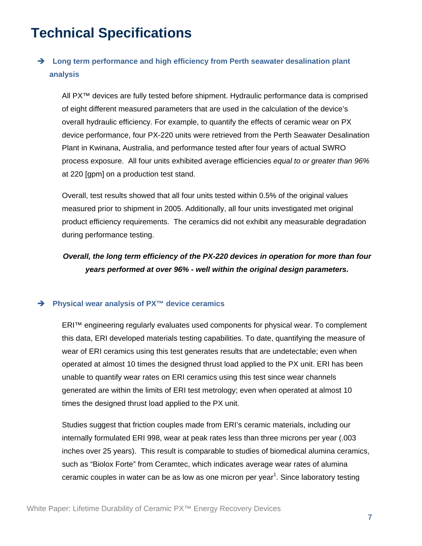# **Technical Specifications**

### **→** Long term performance and high efficiency from Perth seawater desalination plant **analysis**

All PX™ devices are fully tested before shipment. Hydraulic performance data is comprised of eight different measured parameters that are used in the calculation of the device's overall hydraulic efficiency. For example, to quantify the effects of ceramic wear on PX device performance, four PX-220 units were retrieved from the Perth Seawater Desalination Plant in Kwinana, Australia, and performance tested after four years of actual SWRO process exposure. All four units exhibited average efficiencies *equal to or greater than 96%*  at 220 [gpm] on a production test stand.

Overall, test results showed that all four units tested within 0.5% of the original values measured prior to shipment in 2005. Additionally, all four units investigated met original product efficiency requirements. The ceramics did not exhibit any measurable degradation during performance testing.

### *Overall, the long term efficiency of the PX-220 devices in operation for more than four years performed at over 96% - well within the original design parameters.*

#### **Physical wear analysis of PX™ device ceramics**

ERI™ engineering regularly evaluates used components for physical wear. To complement this data, ERI developed materials testing capabilities. To date, quantifying the measure of wear of ERI ceramics using this test generates results that are undetectable; even when operated at almost 10 times the designed thrust load applied to the PX unit. ERI has been unable to quantify wear rates on ERI ceramics using this test since wear channels generated are within the limits of ERI test metrology; even when operated at almost 10 times the designed thrust load applied to the PX unit.

Studies suggest that friction couples made from ERI's ceramic materials, including our internally formulated ERI 998, wear at peak rates less than three microns per year (.003 inches over 25 years). This result is comparable to studies of biomedical alumina ceramics, such as "Biolox Forte" from Ceramtec, which indicates average wear rates of alumina ceramic couples in water can be as low as one micron per year<sup>1</sup>. Since laboratory testing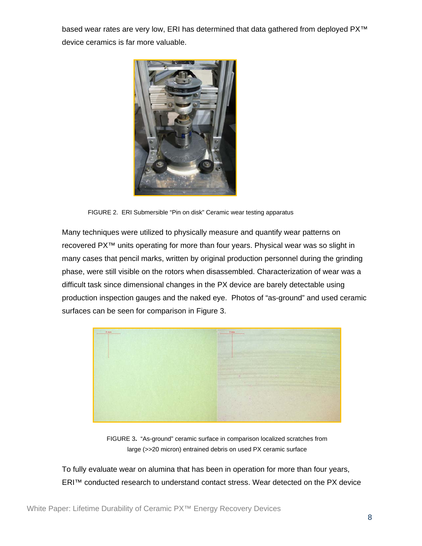based wear rates are very low, ERI has determined that data gathered from deployed PX™ device ceramics is far more valuable.



FIGURE 2.ERI Submersible "Pin on disk" Ceramic wear testing apparatus

Many techniques were utilized to physically measure and quantify wear patterns on recovered PX™ units operating for more than four years. Physical wear was so slight in many cases that pencil marks, written by original production personnel during the grinding phase, were still visible on the rotors when disassembled. Characterization of wear was a difficult task since dimensional changes in the PX device are barely detectable using production inspection gauges and the naked eye. Photos of "as-ground" and used ceramic surfaces can be seen for comparison in Figure 3.



FIGURE 3**.** "As-ground" ceramic surface in comparison localized scratches from large (>>20 micron) entrained debris on used PX ceramic surface

To fully evaluate wear on alumina that has been in operation for more than four years, ERI™ conducted research to understand contact stress. Wear detected on the PX device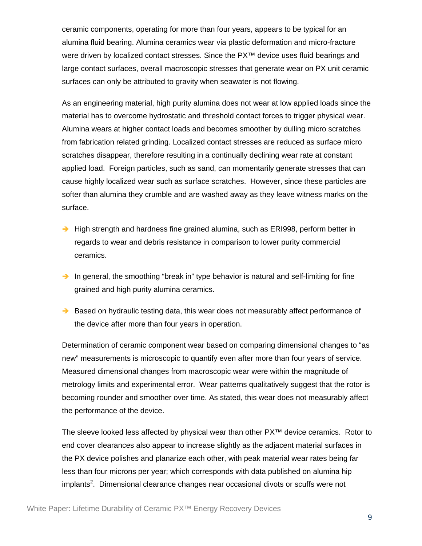ceramic components, operating for more than four years, appears to be typical for an alumina fluid bearing. Alumina ceramics wear via plastic deformation and micro-fracture were driven by localized contact stresses. Since the PX<sup>™</sup> device uses fluid bearings and large contact surfaces, overall macroscopic stresses that generate wear on PX unit ceramic surfaces can only be attributed to gravity when seawater is not flowing.

As an engineering material, high purity alumina does not wear at low applied loads since the material has to overcome hydrostatic and threshold contact forces to trigger physical wear. Alumina wears at higher contact loads and becomes smoother by dulling micro scratches from fabrication related grinding. Localized contact stresses are reduced as surface micro scratches disappear, therefore resulting in a continually declining wear rate at constant applied load. Foreign particles, such as sand, can momentarily generate stresses that can cause highly localized wear such as surface scratches. However, since these particles are softer than alumina they crumble and are washed away as they leave witness marks on the surface.

- $\rightarrow$  High strength and hardness fine grained alumina, such as ERI998, perform better in regards to wear and debris resistance in comparison to lower purity commercial ceramics.
- In general, the smoothing "break in" type behavior is natural and self-limiting for fine grained and high purity alumina ceramics.
- $\rightarrow$  Based on hydraulic testing data, this wear does not measurably affect performance of the device after more than four years in operation.

Determination of ceramic component wear based on comparing dimensional changes to "as new" measurements is microscopic to quantify even after more than four years of service. Measured dimensional changes from macroscopic wear were within the magnitude of metrology limits and experimental error. Wear patterns qualitatively suggest that the rotor is becoming rounder and smoother over time. As stated, this wear does not measurably affect the performance of the device.

The sleeve looked less affected by physical wear than other PX™ device ceramics. Rotor to end cover clearances also appear to increase slightly as the adjacent material surfaces in the PX device polishes and planarize each other, with peak material wear rates being far less than four microns per year; which corresponds with data published on alumina hip implants<sup>2</sup>. Dimensional clearance changes near occasional divots or scuffs were not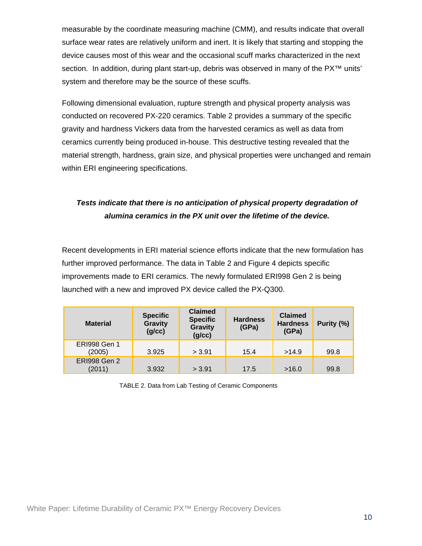measurable by the coordinate measuring machine (CMM), and results indicate that overall surface wear rates are relatively uniform and inert. It is likely that starting and stopping the device causes most of this wear and the occasional scuff marks characterized in the next section. In addition, during plant start-up, debris was observed in many of the PX<sup>™</sup> units' system and therefore may be the source of these scuffs.

Following dimensional evaluation, rupture strength and physical property analysis was conducted on recovered PX-220 ceramics. Table 2 provides a summary of the specific gravity and hardness Vickers data from the harvested ceramics as well as data from ceramics currently being produced in-house. This destructive testing revealed that the material strength, hardness, grain size, and physical properties were unchanged and remain within ERI engineering specifications.

### *Tests indicate that there is no anticipation of physical property degradation of alumina ceramics in the PX unit over the lifetime of the device.*

Recent developments in ERI material science efforts indicate that the new formulation has further improved performance. The data in Table 2 and Figure 4 depicts specific improvements made to ERI ceramics. The newly formulated ERI998 Gen 2 is being launched with a new and improved PX device called the PX-Q300.

| <b>Material</b>               | <b>Specific</b><br><b>Gravity</b><br>(g/cc) | <b>Claimed</b><br><b>Specific</b><br><b>Gravity</b><br>(g/cc) | <b>Hardness</b><br>(GPa) | <b>Claimed</b><br><b>Hardness</b><br>(GPa) | Purity (%) |
|-------------------------------|---------------------------------------------|---------------------------------------------------------------|--------------------------|--------------------------------------------|------------|
| <b>ERI998 Gen 1</b><br>(2005) | 3.925                                       | > 3.91                                                        | 15.4                     | >14.9                                      | 99.8       |
| <b>ERI998 Gen 2</b><br>(2011) | 3.932                                       | > 3.91                                                        | 17.5                     | >16.0                                      | 99.8       |

TABLE 2. Data from Lab Testing of Ceramic Components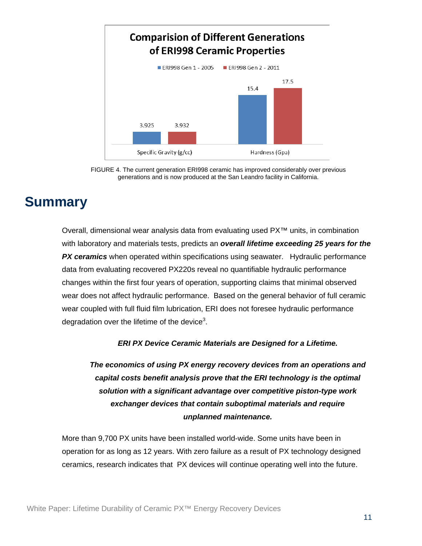

FIGURE 4. The current generation ERI998 ceramic has improved considerably over previous generations and is now produced at the San Leandro facility in California.

# **Summary**

Overall, dimensional wear analysis data from evaluating used PX™ units, in combination with laboratory and materials tests, predicts an *overall lifetime exceeding 25 years for the*  **PX ceramics** when operated within specifications using seawater. Hydraulic performance data from evaluating recovered PX220s reveal no quantifiable hydraulic performance changes within the first four years of operation, supporting claims that minimal observed wear does not affect hydraulic performance. Based on the general behavior of full ceramic wear coupled with full fluid film lubrication, ERI does not foresee hydraulic performance degradation over the lifetime of the device<sup>3</sup>.

*ERI PX Device Ceramic Materials are Designed for a Lifetime.* 

*The economics of using PX energy recovery devices from an operations and capital costs benefit analysis prove that the ERI technology is the optimal solution with a significant advantage over competitive piston-type work exchanger devices that contain suboptimal materials and require unplanned maintenance.* 

More than 9,700 PX units have been installed world-wide. Some units have been in operation for as long as 12 years. With zero failure as a result of PX technology designed ceramics, research indicates that PX devices will continue operating well into the future.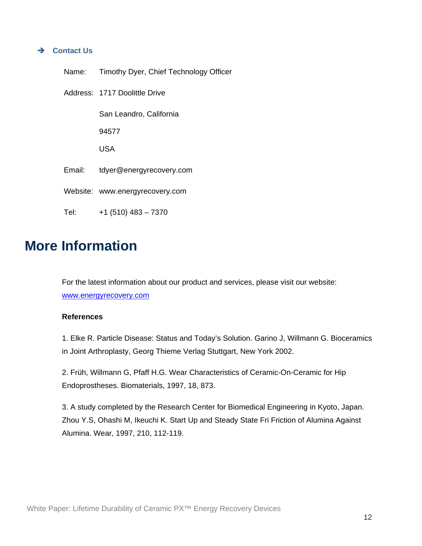#### **Contact Us**

| Name:  | Timothy Dyer, Chief Technology Officer |
|--------|----------------------------------------|
|        | Address: 1717 Doolittle Drive          |
|        | San Leandro, California                |
|        | 94577                                  |
|        | USA                                    |
| Email: | tdyer@energyrecovery.com               |
|        | Website: www.energyrecovery.com        |
| Tel:   | $+1$ (510) 483 - 7370                  |

### **More Information**

For the latest information about our product and services, please visit our website: www.energyrecovery.com

#### **References**

1. Elke R. Particle Disease: Status and Today's Solution. Garino J, Willmann G. Bioceramics in Joint Arthroplasty, Georg Thieme Verlag Stuttgart, New York 2002.

2. Früh, Willmann G, Pfaff H.G. Wear Characteristics of Ceramic-On-Ceramic for Hip Endoprostheses. Biomaterials, 1997, 18, 873.

3. A study completed by the Research Center for Biomedical Engineering in Kyoto, Japan. Zhou Y.S, Ohashi M, Ikeuchi K. Start Up and Steady State Fri Friction of Alumina Against Alumina. Wear, 1997, 210, 112-119.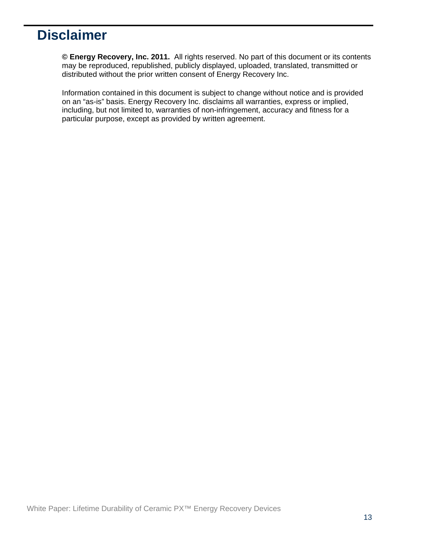# **Disclaimer**

**© Energy Recovery, Inc. 2011.** All rights reserved. No part of this document or its contents may be reproduced, republished, publicly displayed, uploaded, translated, transmitted or distributed without the prior written consent of Energy Recovery Inc.

Information contained in this document is subject to change without notice and is provided on an "as-is" basis. Energy Recovery Inc. disclaims all warranties, express or implied, including, but not limited to, warranties of non-infringement, accuracy and fitness for a particular purpose, except as provided by written agreement.